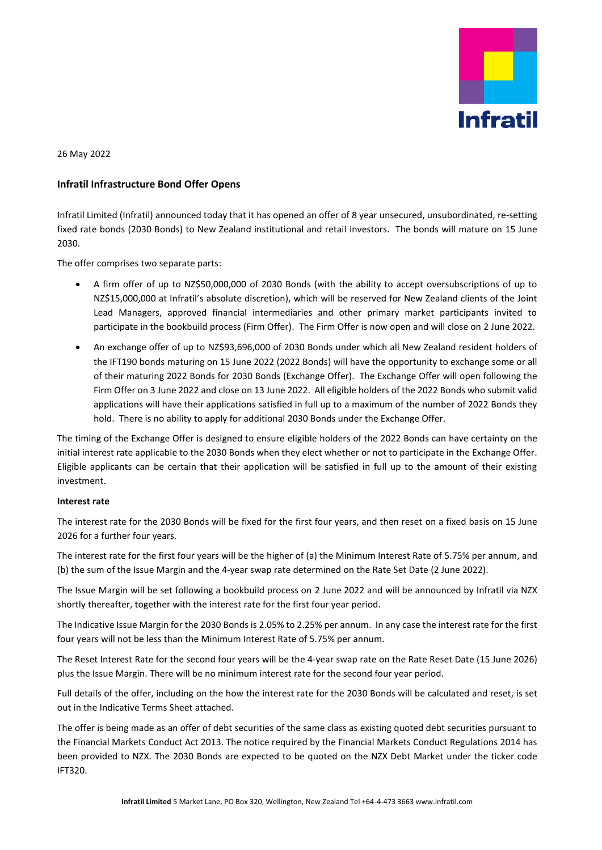

26 May 2022

## **Infratil Infrastructure Bond Offer Opens**

Infratil Limited (Infratil) announced today that it has opened an offer of 8 year unsecured, unsubordinated, re-setting fixed rate bonds (2030 Bonds) to New Zealand institutional and retail investors. The bonds will mature on 15 June 2030.

The offer comprises two separate parts:

- A firm offer of up to NZ\$50,000,000 of 2030 Bonds (with the ability to accept oversubscriptions of up to NZ\$15,000,000 at Infratil's absolute discretion), which will be reserved for New Zealand clients of the Joint Lead Managers, approved financial intermediaries and other primary market participants invited to participate in the bookbuild process (Firm Offer). The Firm Offer is now open and will close on 2 June 2022.
- An exchange offer of up to NZ\$93,696,000 of 2030 Bonds under which all New Zealand resident holders of the IFT190 bonds maturing on 15 June 2022 (2022 Bonds) will have the opportunity to exchange some or all of their maturing 2022 Bonds for 2030 Bonds (Exchange Offer). The Exchange Offer will open following the Firm Offer on 3 June 2022 and close on 13 June 2022. All eligible holders of the 2022 Bonds who submit valid applications will have their applications satisfied in full up to a maximum of the number of 2022 Bonds they hold. There is no ability to apply for additional 2030 Bonds under the Exchange Offer.

The timing of the Exchange Offer is designed to ensure eligible holders of the 2022 Bonds can have certainty on the initial interest rate applicable to the 2030 Bonds when they elect whether or not to participate in the Exchange Offer. Eligible applicants can be certain that their application will be satisfied in full up to the amount of their existing investment.

## **Interest rate**

The interest rate for the 2030 Bonds will be fixed for the first four years, and then reset on a fixed basis on 15 June 2026 for a further four years.

The interest rate for the first four years will be the higher of (a) the Minimum Interest Rate of 5.75% per annum, and (b) the sum of the Issue Margin and the 4-year swap rate determined on the Rate Set Date (2 June 2022).

The Issue Margin will be set following a bookbuild process on 2 June 2022 and will be announced by Infratil via NZX shortly thereafter, together with the interest rate for the first four year period.

The Indicative Issue Margin for the 2030 Bonds is 2.05% to 2.25% per annum. In any case the interest rate for the first four years will not be less than the Minimum Interest Rate of 5.75% per annum.

The Reset Interest Rate for the second four years will be the 4-year swap rate on the Rate Reset Date (15 June 2026) plus the Issue Margin. There will be no minimum interest rate for the second four year period.

Full details of the offer, including on the how the interest rate for the 2030 Bonds will be calculated and reset, is set out in the Indicative Terms Sheet attached.

The offer is being made as an offer of debt securities of the same class as existing quoted debt securities pursuant to the Financial Markets Conduct Act 2013. The notice required by the Financial Markets Conduct Regulations 2014 has been provided to NZX. The 2030 Bonds are expected to be quoted on the NZX Debt Market under the ticker code IFT320.